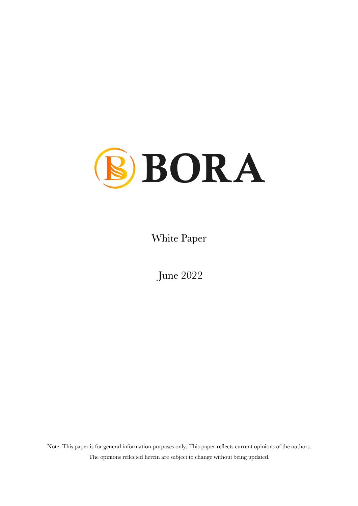

White Paper

June 2022

Note: This paper is for general information purposes only. This paper reflects current opinions of the authors. The opinions reflected herein are subject to change without being updated.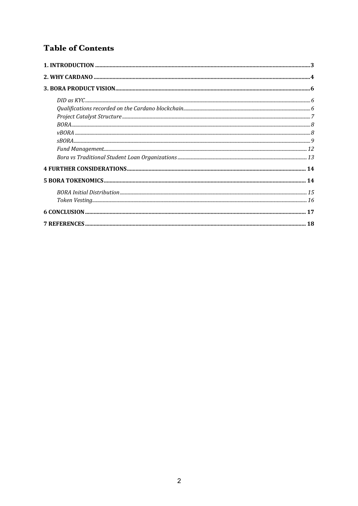### **Table of Contents**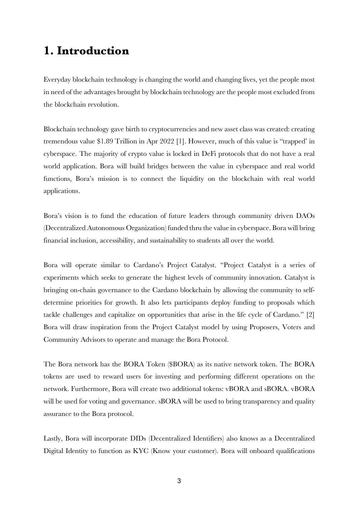## **1. Introduction**

Everyday blockchain technology is changing the world and changing lives, yet the people most in need of the advantages brought by blockchain technology are the people most excluded from the blockchain revolution.

Blockchain technology gave birth to cryptocurrencies and new asset class was created: creating tremendous value \$1.89 Trillion in Apr 2022 [1]. However, much of this value is "trapped' in cyberspace. The majority of crypto value is locked in DeFi protocols that do not have a real world application. Bora will build bridges between the value in cyberspace and real world functions, Bora's mission is to connect the liquidity on the blockchain with real world applications.

Bora's vision is to fund the education of future leaders through community driven DAOs (Decentralized Autonomous Organization) funded thru the value in cyberspace. Bora will bring financial inclusion, accessibility, and sustainability to students all over the world.

Bora will operate similar to Cardano's Project Catalyst. "Project Catalyst is a series of experiments which seeks to generate the highest levels of community innovation. Catalyst is bringing on-chain governance to the Cardano blockchain by allowing the community to selfdetermine priorities for growth. It also lets participants deploy funding to proposals which tackle challenges and capitalize on opportunities that arise in the life cycle of Cardano." [2] Bora will draw inspiration from the Project Catalyst model by using Proposers, Voters and Community Advisors to operate and manage the Bora Protocol.

The Bora network has the BORA Token (\$BORA) as its native network token. The BORA tokens are used to reward users for investing and performing different operations on the network. Furthermore, Bora will create two additional tokens: vBORA and sBORA. vBORA will be used for voting and governance. sBORA will be used to bring transparency and quality assurance to the Bora protocol.

Lastly, Bora will incorporate DIDs (Decentralized Identifiers) also knows as a Decentralized Digital Identity to function as KYC (Know your customer). Bora will onboard qualifications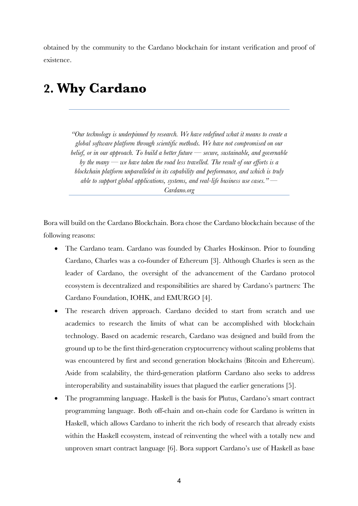obtained by the community to the Cardano blockchain for instant verification and proof of existence.

## **2. Why Cardano**

*"Our technology is underpinned by research. We have redefined what it means to create a global software platform through scientific methods. We have not compromised on our belief, or in our approach. To build a better future — secure, sustainable, and governable by the many — we have taken the road less travelled. The result of our efforts is a blockchain platform unparalleled in its capability and performance, and which is truly able to support global applications, systems, and real-life business use cases." — Cardano.org*

Bora will build on the Cardano Blockchain. Bora chose the Cardano blockchain because of the following reasons:

- The Cardano team. Cardano was founded by Charles Hoskinson. Prior to founding Cardano, Charles was a co-founder of Ethereum [3]. Although Charles is seen as the leader of Cardano, the oversight of the advancement of the Cardano protocol ecosystem is decentralized and responsibilities are shared by Cardano's partners: The Cardano Foundation, IOHK, and EMURGO [4].
- The research driven approach. Cardano decided to start from scratch and use academics to research the limits of what can be accomplished with blockchain technology. Based on academic research, Cardano was designed and build from the ground up to be the first third-generation cryptocurrency without scaling problems that was encountered by first and second generation blockchains (Bitcoin and Ethereum). Aside from scalability, the third-generation platform Cardano also seeks to address interoperability and sustainability issues that plagued the earlier generations [5].
- The programming language. Haskell is the basis for Plutus, Cardano's smart contract programming language. Both off-chain and on-chain code for Cardano is written in Haskell, which allows Cardano to inherit the rich body of research that already exists within the Haskell ecosystem, instead of reinventing the wheel with a totally new and unproven smart contract language [6]. Bora support Cardano's use of Haskell as base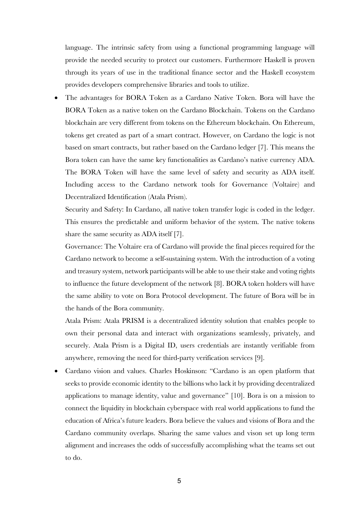language. The intrinsic safety from using a functional programming language will provide the needed security to protect our customers. Furthermore Haskell is proven through its years of use in the traditional finance sector and the Haskell ecosystem provides developers comprehensive libraries and tools to utilize.

• The advantages for BORA Token as a Cardano Native Token. Bora will have the BORA Token as a native token on the Cardano Blockchain. Tokens on the Cardano blockchain are very different from tokens on the Ethereum blockchain. On Ethereum, tokens get created as part of a smart contract. However, on Cardano the logic is not based on smart contracts, but rather based on the Cardano ledger [7]. This means the Bora token can have the same key functionalities as Cardano's native currency ADA. The BORA Token will have the same level of safety and security as ADA itself. Including access to the Cardano network tools for Governance (Voltaire) and Decentralized Identification (Atala Prism).

Security and Safety: In Cardano, all native token transfer logic is coded in the ledger. This ensures the predictable and uniform behavior of the system. The native tokens share the same security as ADA itself [7].

Governance: The Voltaire era of Cardano will provide the final pieces required for the Cardano network to become a self-sustaining system. With the introduction of a voting and treasury system, network participants will be able to use their stake and voting rights to influence the future development of the network [8]. BORA token holders will have the same ability to vote on Bora Protocol development. The future of Bora will be in the hands of the Bora community.

Atala Prism: Atala PRISM is a decentralized identity solution that enables people to own their personal data and interact with organizations seamlessly, privately, and securely. Atala Prism is a Digital ID, users credentials are instantly verifiable from anywhere, removing the need for third-party verification services [9].

• Cardano vision and values. Charles Hoskinson: "Cardano is an open platform that seeks to provide economic identity to the billions who lack it by providing decentralized applications to manage identity, value and governance" [10]. Bora is on a mission to connect the liquidity in blockchain cyberspace with real world applications to fund the education of Africa's future leaders. Bora believe the values and visions of Bora and the Cardano community overlaps. Sharing the same values and vison set up long term alignment and increases the odds of successfully accomplishing what the teams set out to do.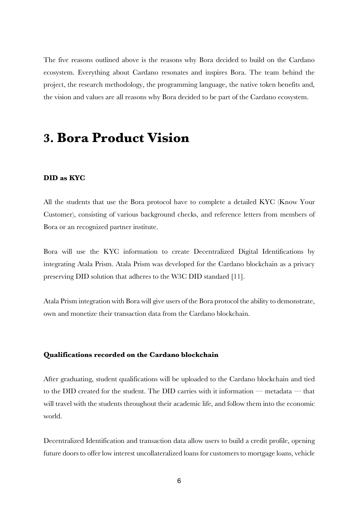The five reasons outlined above is the reasons why Bora decided to build on the Cardano ecosystem. Everything about Cardano resonates and inspires Bora. The team behind the project, the research methodology, the programming language, the native token benefits and, the vision and values are all reasons why Bora decided to be part of the Cardano ecosystem.

## **3. Bora Product Vision**

#### **DID as KYC**

All the students that use the Bora protocol have to complete a detailed KYC (Know Your Customer), consisting of various background checks, and reference letters from members of Bora or an recognized partner institute.

Bora will use the KYC information to create Decentralized Digital Identifications by integrating Atala Prism. Atala Prism was developed for the Cardano blockchain as a privacy preserving DID solution that adheres to the W3C DID standard [11].

Atala Prism integration with Bora will give users of the Bora protocol the ability to demonstrate, own and monetize their transaction data from the Cardano blockchain.

#### **Qualifications recorded on the Cardano blockchain**

After graduating, student qualifications will be uploaded to the Cardano blockchain and tied to the DID created for the student. The DID carries with it information — metadata — that will travel with the students throughout their academic life, and follow them into the economic world.

Decentralized Identification and transaction data allow users to build a credit profile, opening future doors to offer low interest uncollateralized loans for customers to mortgage loans, vehicle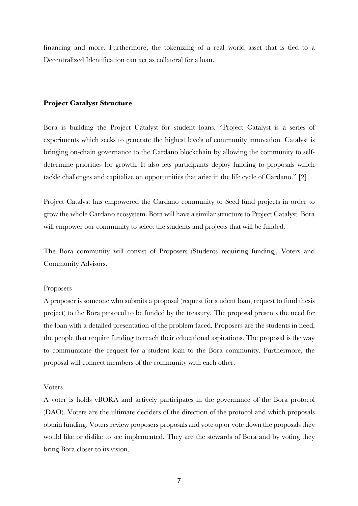financing and more. Furthermore, the tokenizing of a real world asset that is tied to a Decentralized Identification can act as collateral for a loan.

#### **Project Catalyst Structure**

Bora is building the Project Catalyst for student loans. "Project Catalyst is a series of experiments which seeks to generate the highest levels of community innovation. Catalyst is bringing on-chain governance to the Cardano blockchain by allowing the community to selfdetermine priorities for growth. It also lets participants deploy funding to proposals which tackle challenges and capitalize on opportunities that arise in the life cycle of Cardano." [2]

Project Catalyst has empowered the Cardano community to Seed fund projects in order to grow the whole Cardano ecosystem. Bora will have a similar structure to Project Catalyst. Bora will empower our community to select the students and projects that will be funded.

The Bora community will consist of Proposers (Students requiring funding), Voters and Community Advisors.

#### Proposers

A proposer is someone who submits a proposal (request for student loan, request to fund thesis project) to the Bora protocol to be funded by the treasury. The proposal presents the need for the loan with a detailed presentation of the problem faced. Proposers are the students in need, the people that require funding to reach their educational aspirations. The proposal is the way to communicate the request for a student loan to the Bora community. Furthermore, the proposal will connect members of the community with each other.

#### Voters

A voter is holds vBORA and actively participates in the governance of the Bora protocol (DAO). Voters are the ultimate deciders of the direction of the protocol and which proposals obtain funding. Voters review proposers proposals and vote up or vote down the proposals they would like or dislike to see implemented. They are the stewards of Bora and by voting they bring Bora closer to its vision.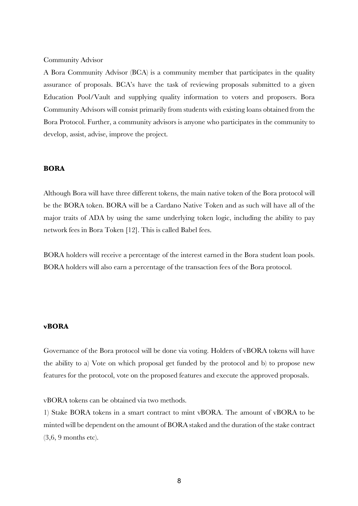#### Community Advisor

A Bora Community Advisor (BCA) is a community member that participates in the quality assurance of proposals. BCA's have the task of reviewing proposals submitted to a given Education Pool/Vault and supplying quality information to voters and proposers. Bora Community Advisors will consist primarily from students with existing loans obtained from the Bora Protocol. Further, a community advisors is anyone who participates in the community to develop, assist, advise, improve the project.

#### **BORA**

Although Bora will have three different tokens, the main native token of the Bora protocol will be the BORA token. BORA will be a Cardano Native Token and as such will have all of the major traits of ADA by using the same underlying token logic, including the ability to pay network fees in Bora Token [12]. This is called Babel fees.

BORA holders will receive a percentage of the interest earned in the Bora student loan pools. BORA holders will also earn a percentage of the transaction fees of the Bora protocol.

#### **vBORA**

Governance of the Bora protocol will be done via voting. Holders of vBORA tokens will have the ability to a) Vote on which proposal get funded by the protocol and b) to propose new features for the protocol, vote on the proposed features and execute the approved proposals.

vBORA tokens can be obtained via two methods.

1) Stake BORA tokens in a smart contract to mint vBORA. The amount of vBORA to be minted will be dependent on the amount of BORA staked and the duration of the stake contract (3,6, 9 months etc).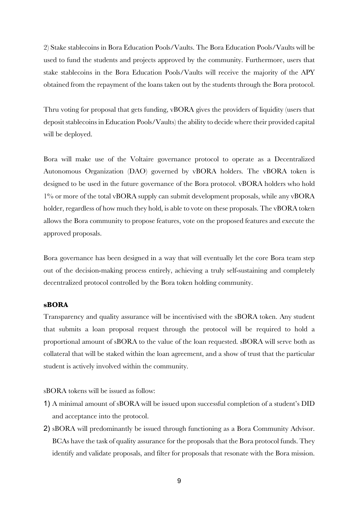2) Stake stablecoins in Bora Education Pools/Vaults. The Bora Education Pools/Vaults will be used to fund the students and projects approved by the community. Furthermore, users that stake stablecoins in the Bora Education Pools/Vaults will receive the majority of the APY obtained from the repayment of the loans taken out by the students through the Bora protocol.

Thru voting for proposal that gets funding, vBORA gives the providers of liquidity (users that deposit stablecoins in Education Pools/Vaults) the ability to decide where their provided capital will be deployed.

Bora will make use of the Voltaire governance protocol to operate as a Decentralized Autonomous Organization (DAO) governed by vBORA holders. The vBORA token is designed to be used in the future governance of the Bora protocol. vBORA holders who hold 1% or more of the total vBORA supply can submit development proposals, while any vBORA holder, regardless of how much they hold, is able to vote on these proposals. The vBORA token allows the Bora community to propose features, vote on the proposed features and execute the approved proposals.

Bora governance has been designed in a way that will eventually let the core Bora team step out of the decision-making process entirely, achieving a truly self-sustaining and completely decentralized protocol controlled by the Bora token holding community.

#### **sBORA**

Transparency and quality assurance will be incentivised with the sBORA token. Any student that submits a loan proposal request through the protocol will be required to hold a proportional amount of sBORA to the value of the loan requested. sBORA will serve both as collateral that will be staked within the loan agreement, and a show of trust that the particular student is actively involved within the community.

sBORA tokens will be issued as follow:

- 1) A minimal amount of sBORA will be issued upon successful completion of a student's DID and acceptance into the protocol.
- 2) sBORA will predominantly be issued through functioning as a Bora Community Advisor. BCAs have the task of quality assurance for the proposals that the Bora protocol funds. They identify and validate proposals, and filter for proposals that resonate with the Bora mission.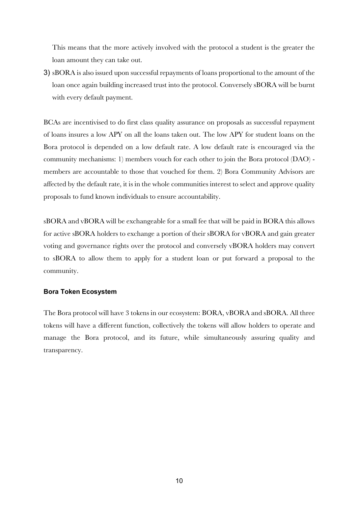This means that the more actively involved with the protocol a student is the greater the loan amount they can take out.

3) sBORA is also issued upon successful repayments of loans proportional to the amount of the loan once again building increased trust into the protocol. Conversely sBORA will be burnt with every default payment.

BCAs are incentivised to do first class quality assurance on proposals as successful repayment of loans insures a low APY on all the loans taken out. The low APY for student loans on the Bora protocol is depended on a low default rate. A low default rate is encouraged via the community mechanisms: 1) members vouch for each other to join the Bora protocol (DAO) members are accountable to those that vouched for them. 2) Bora Community Advisors are affected by the default rate, it is in the whole communities interest to select and approve quality proposals to fund known individuals to ensure accountability.

sBORA and vBORA will be exchangeable for a small fee that will be paid in BORA this allows for active sBORA holders to exchange a portion of their sBORA for vBORA and gain greater voting and governance rights over the protocol and conversely vBORA holders may convert to sBORA to allow them to apply for a student loan or put forward a proposal to the community.

#### **Bora Token Ecosystem**

The Bora protocol will have 3 tokens in our ecosystem: BORA, vBORA and sBORA. All three tokens will have a different function, collectively the tokens will allow holders to operate and manage the Bora protocol, and its future, while simultaneously assuring quality and transparency.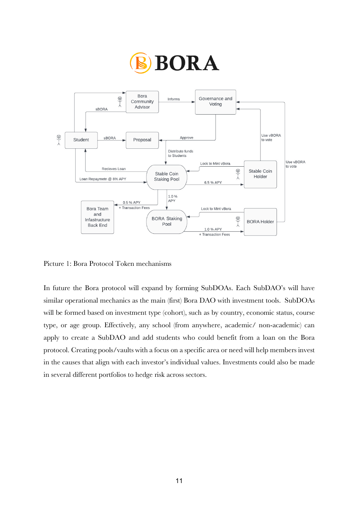

Picture 1: Bora Protocol Token mechanisms

In future the Bora protocol will expand by forming SubDOAs. Each SubDAO's will have similar operational mechanics as the main (first) Bora DAO with investment tools. SubDOAs will be formed based on investment type (cohort), such as by country, economic status, course type, or age group. Effectively, any school (from anywhere, academic/ non-academic) can apply to create a SubDAO and add students who could benefit from a loan on the Bora protocol. Creating pools/vaults with a focus on a specific area or need will help members invest in the causes that align with each investor's individual values. Investments could also be made in several different portfolios to hedge risk across sectors.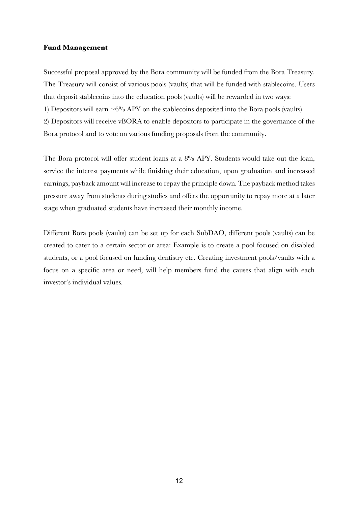#### **Fund Management**

Successful proposal approved by the Bora community will be funded from the Bora Treasury. The Treasury will consist of various pools (vaults) that will be funded with stablecoins. Users that deposit stablecoins into the education pools (vaults) will be rewarded in two ways: 1) Depositors will earn  $\sim 6\%$  APY on the stablecoins deposited into the Bora pools (vaults). 2) Depositors will receive vBORA to enable depositors to participate in the governance of the Bora protocol and to vote on various funding proposals from the community.

The Bora protocol will offer student loans at a 8% APY. Students would take out the loan, service the interest payments while finishing their education, upon graduation and increased earnings, payback amount will increase to repay the principle down. The payback method takes pressure away from students during studies and offers the opportunity to repay more at a later stage when graduated students have increased their monthly income.

Different Bora pools (vaults) can be set up for each SubDAO, different pools (vaults) can be created to cater to a certain sector or area: Example is to create a pool focused on disabled students, or a pool focused on funding dentistry etc. Creating investment pools/vaults with a focus on a specific area or need, will help members fund the causes that align with each investor's individual values.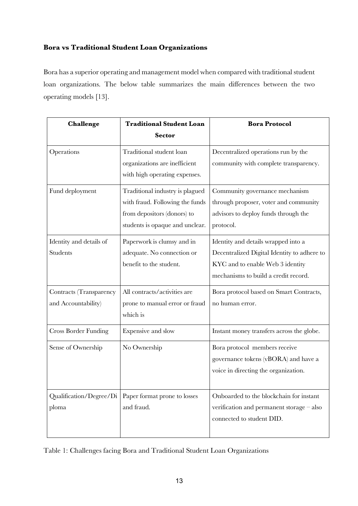### **Bora vs Traditional Student Loan Organizations**

Bora has a superior operating and management model when compared with traditional student loan organizations. The below table summarizes the main differences between the two operating models [13].

| <b>Challenge</b>                               | <b>Traditional Student Loan</b>                                                                                                      | <b>Bora Protocol</b>                                                                                                                                           |  |
|------------------------------------------------|--------------------------------------------------------------------------------------------------------------------------------------|----------------------------------------------------------------------------------------------------------------------------------------------------------------|--|
|                                                | <b>Sector</b>                                                                                                                        |                                                                                                                                                                |  |
| Operations                                     | Traditional student loan<br>organizations are inefficient<br>with high operating expenses.                                           | Decentralized operations run by the<br>community with complete transparency.                                                                                   |  |
| Fund deployment                                | Traditional industry is plagued<br>with fraud. Following the funds<br>from depositors (donors) to<br>students is opaque and unclear. | Community governance mechanism<br>through proposer, voter and community<br>advisors to deploy funds through the<br>protocol.                                   |  |
| Identity and details of<br><b>Students</b>     | Paperwork is clumsy and in<br>adequate. No connection or<br>benefit to the student.                                                  | Identity and details wrapped into a<br>Decentralized Digital Identity to adhere to<br>KYC and to enable Web 3 identity<br>mechanisms to build a credit record. |  |
| Contracts (Transparency<br>and Accountability) | All contracts/activities are<br>prone to manual error or fraud<br>which is                                                           | Bora protocol based on Smart Contracts,<br>no human error.                                                                                                     |  |
| <b>Cross Border Funding</b>                    | Expensive and slow                                                                                                                   | Instant money transfers across the globe.                                                                                                                      |  |
| Sense of Ownership                             | No Ownership                                                                                                                         | Bora protocol members receive<br>governance tokens (vBORA) and have a<br>voice in directing the organization.                                                  |  |
| Qualification/Degree/Di<br>ploma               | Paper format prone to losses<br>and fraud.                                                                                           | Onboarded to the blockchain for instant<br>verification and permanent storage - also<br>connected to student DID.                                              |  |

Table 1: Challenges facing Bora and Traditional Student Loan Organizations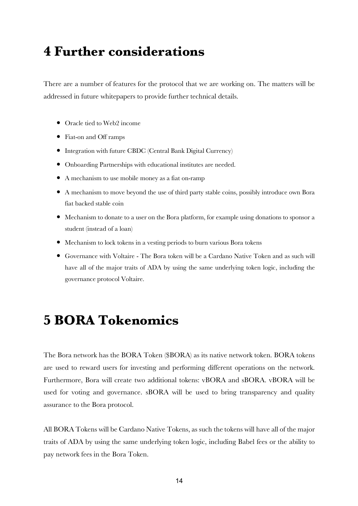# **4 Further considerations**

There are a number of features for the protocol that we are working on. The matters will be addressed in future whitepapers to provide further technical details.

- Oracle tied to Web2 income
- Fiat-on and Off ramps
- Integration with future CBDC (Central Bank Digital Currency)
- Onboarding Partnerships with educational institutes are needed.
- A mechanism to use mobile money as a fiat on-ramp
- A mechanism to move beyond the use of third party stable coins, possibly introduce own Bora fiat backed stable coin
- Mechanism to donate to a user on the Bora platform, for example using donations to sponsor a student (instead of a loan)
- Mechanism to lock tokens in a vesting periods to burn various Bora tokens
- Governance with Voltaire The Bora token will be a Cardano Native Token and as such will have all of the major traits of ADA by using the same underlying token logic, including the governance protocol Voltaire.

## **5 BORA Tokenomics**

The Bora network has the BORA Token (\$BORA) as its native network token. BORA tokens are used to reward users for investing and performing different operations on the network. Furthermore, Bora will create two additional tokens: vBORA and sBORA. vBORA will be used for voting and governance. sBORA will be used to bring transparency and quality assurance to the Bora protocol.

All BORA Tokens will be Cardano Native Tokens, as such the tokens will have all of the major traits of ADA by using the same underlying token logic, including Babel fees or the ability to pay network fees in the Bora Token.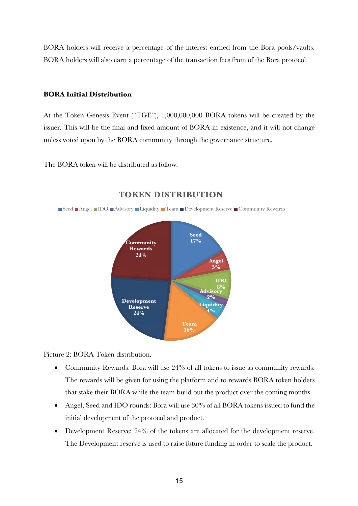BORA holders will receive a percentage of the interest earned from the Bora pools/vaults. BORA holders will also earn a percentage of the transaction fees from of the Bora protocol.

#### **BORA Initial Distribution**

At the Token Genesis Event ("TGE"), 1,000,000,000 BORA tokens will be created by the issuer. This will be the final and fixed amount of BORA in existence, and it will not change unless voted upon by the BORA community through the governance structure.

The BORA token will be distributed as follow:



#### **TOKEN DISTRIBUTION**

Picture 2: BORA Token distribution.

- Community Rewards: Bora will use 24% of all tokens to issue as community rewards. The rewards will be given for using the platform and to rewards BORA token holders that stake their BORA while the team build out the product over the coming months.
- Angel, Seed and IDO rounds: Bora will use 30% of all BORA tokens issued to fund the initial development of the protocol and product.
- Development Reserve: 24% of the tokens are allocated for the development reserve. The Development reserve is used to raise future funding in order to scale the product.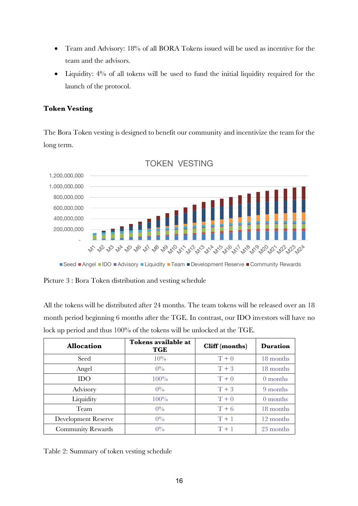- Team and Advisory: 18% of all BORA Tokens issued will be used as incentive for the team and the advisors.
- Liquidity:  $4\%$  of all tokens will be used to fund the initial liquidity required for the launch of the protocol.

#### **Token Vesting**

The Bora Token vesting is designed to benefit our community and incentivize the team for the long term.



### TOKEN VESTING

■ Seed ■ Angel ■ IDO ■ Advisory ■ Liquidity ■ Team ■ Development Reserve ■ Community Rewards

Picture 3 : Bora Token distribution and vesting schedule

All the tokens will be distributed after 24 months. The team tokens will be released over an 18 month period beginning 6 months after the TGE. In contrast, our IDO investors will have no lock up period and thus 100% of the tokens will be unlocked at the TGE.

| <b>Allocation</b>          | Tokens available at<br><b>TGE</b> | Cliff (months) | <b>Duration</b> |
|----------------------------|-----------------------------------|----------------|-----------------|
| Seed                       | $10\%$                            | $T + 0$        | 18 months       |
| Angel                      | $0\%$                             | $T + 3$        | 18 months       |
| <b>IDO</b>                 | 100%                              | $T + 0$        | 0 months        |
| Advisory                   | $0\%$                             | $T + 3$        | 9 months        |
| Liquidity                  | 100%                              | $T + 0$        | 0 months        |
| Team                       | $0\%$                             | $T + 6$        | 18 months       |
| <b>Development Reserve</b> | $0\%$                             | $T + 1$        | 12 months       |
| <b>Community Rewards</b>   | $0\%$                             | $T + 1$        | 23 months       |

Table 2: Summary of token vesting schedule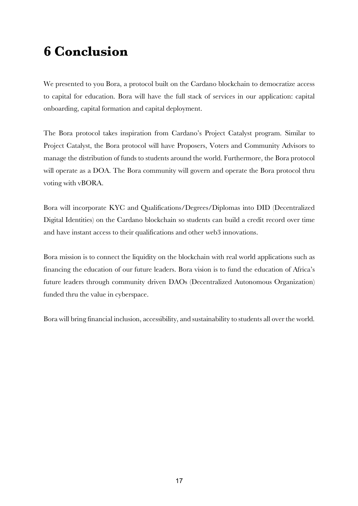# **6 Conclusion**

We presented to you Bora, a protocol built on the Cardano blockchain to democratize access to capital for education. Bora will have the full stack of services in our application: capital onboarding, capital formation and capital deployment.

The Bora protocol takes inspiration from Cardano's Project Catalyst program. Similar to Project Catalyst, the Bora protocol will have Proposers, Voters and Community Advisors to manage the distribution of funds to students around the world. Furthermore, the Bora protocol will operate as a DOA. The Bora community will govern and operate the Bora protocol thru voting with vBORA.

Bora will incorporate KYC and Qualifications/Degrees/Diplomas into DID (Decentralized Digital Identities) on the Cardano blockchain so students can build a credit record over time and have instant access to their qualifications and other web3 innovations.

Bora mission is to connect the liquidity on the blockchain with real world applications such as financing the education of our future leaders. Bora vision is to fund the education of Africa's future leaders through community driven DAOs (Decentralized Autonomous Organization) funded thru the value in cyberspace.

Bora will bring financial inclusion, accessibility, and sustainability to students all overthe world.